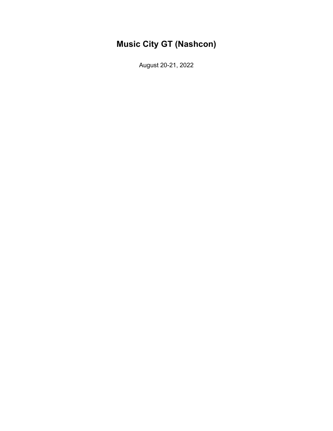# **Music City GT (Nashcon)**

August 20-21, 2022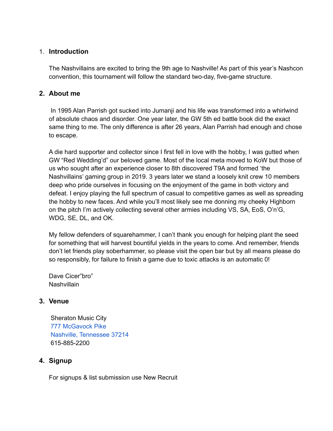## 1. **Introduction**

The Nashvillains are excited to bring the 9th age to Nashville! As part of this year's Nashcon convention, this tournament will follow the standard two-day, five-game structure.

## **2. About me**

In 1995 Alan Parrish got sucked into Jumanji and his life was transformed into a whirlwind of absolute chaos and disorder. One year later, the GW 5th ed battle book did the exact same thing to me. The only difference is after 26 years, Alan Parrish had enough and chose to escape.

A die hard supporter and collector since I first fell in love with the hobby, I was gutted when GW "Red Wedding'd" our beloved game. Most of the local meta moved to KoW but those of us who sought after an experience closer to 8th discovered T9A and formed 'the Nashvillains' gaming group in 2019. 3 years later we stand a loosely knit crew 10 members deep who pride ourselves in focusing on the enjoyment of the game in both victory and defeat. I enjoy playing the full spectrum of casual to competitive games as well as spreading the hobby to new faces. And while you'll most likely see me donning my cheeky Highborn on the pitch I'm actively collecting several other armies including VS, SA, EoS, O'n'G, WDG, SE, DL, and OK.

My fellow defenders of squarehammer, I can't thank you enough for helping plant the seed for something that will harvest bountiful yields in the years to come. And remember, friends don't let friends play soberhammer, so please visit the open bar but by all means please do so responsibly, for failure to finish a game due to toxic attacks is an automatic 0!

Dave Cicer"bro" **Nashvillain** 

#### **3. Venue**

Sheraton Music City 777 [McGavock](https://www.marriott.com/hotels/maps/travel/bnasi-sheraton-music-city-hotel/?maps) Pike Nashville, [Tennessee](https://www.marriott.com/hotels/maps/travel/bnasi-sheraton-music-city-hotel/?maps) 37214 615-885-2200

# **4. Signup**

For signups & list submission use New Recruit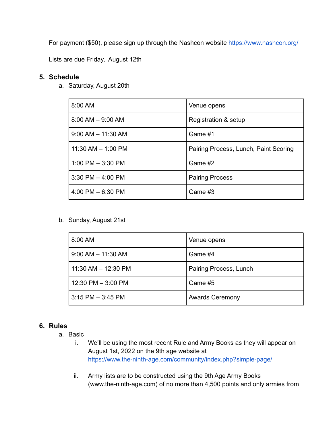For payment (\$50), please sign up through the Nashcon website <https://www.nashcon.org/>

Lists are due Friday, August 12th

### **5. Schedule**

a. Saturday, August 20th

| 8:00 AM                | Venue opens                           |
|------------------------|---------------------------------------|
| $8:00$ AM $-9:00$ AM   | Registration & setup                  |
| $9:00$ AM $-$ 11:30 AM | Game #1                               |
| $11:30$ AM $- 1:00$ PM | Pairing Process, Lunch, Paint Scoring |
| 1:00 PM $-$ 3:30 PM    | Game #2                               |
| $3:30$ PM $-$ 4:00 PM  | <b>Pairing Process</b>                |
| 4:00 PM $-6:30$ PM     | Game #3                               |

b. Sunday, August 21st

| 8:00 AM                 | Venue opens            |
|-------------------------|------------------------|
| $9:00$ AM $-$ 11:30 AM  | Game #4                |
| $11:30$ AM $- 12:30$ PM | Pairing Process, Lunch |
| $12:30$ PM $-3:00$ PM   | Game #5                |
| $3:15$ PM $-3:45$ PM    | <b>Awards Ceremony</b> |

#### **6. Rules**

- a. Basic
	- i. We'll be using the most recent Rule and Army Books as they will appear on August 1st, 2022 on the 9th age website at <https://www.the-ninth-age.com/community/index.php?simple-page/>
	- ii. Army lists are to be constructed using the 9th Age Army Books (www.the-ninth-age.com) of no more than 4,500 points and only armies from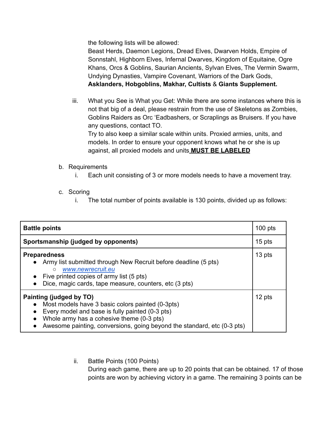the following lists will be allowed:

Beast Herds, Daemon Legions, Dread Elves, Dwarven Holds, Empire of Sonnstahl, Highborn Elves, Infernal Dwarves, Kingdom of Equitaine, Ogre Khans, Orcs & Goblins, Saurian Ancients, Sylvan Elves, The Vermin Swarm, Undying Dynasties, Vampire Covenant, Warriors of the Dark Gods, **Asklanders, Hobgoblins, Makhar, Cultists** & **Giants Supplement.**

iii. What you See is What you Get: While there are some instances where this is not that big of a deal, please restrain from the use of Skeletons as Zombies, Goblins Raiders as Orc 'Eadbashers, or Scraplings as Bruisers. If you have any questions, contact TO.

Try to also keep a similar scale within units. Proxied armies, units, and models. In order to ensure your opponent knows what he or she is up against, all proxied models and units **MUST BE LABELED**

- b. Requirements
	- i. Each unit consisting of 3 or more models needs to have a movement tray.
- c. Scoring
	- i. The total number of points available is 130 points, divided up as follows:

| <b>Battle points</b>                                                                                                                                                                                                                                                |        |
|---------------------------------------------------------------------------------------------------------------------------------------------------------------------------------------------------------------------------------------------------------------------|--------|
| Sportsmanship (judged by opponents)                                                                                                                                                                                                                                 |        |
| <b>Preparedness</b><br>Army list submitted through New Recruit before deadline (5 pts)<br>$\bullet$<br>www.newrecruit.eu<br>$\bigcirc$<br>Five printed copies of army list (5 pts)<br>Dice, magic cards, tape measure, counters, etc (3 pts)<br>$\bullet$           | 13 pts |
| Painting (judged by TO)<br>Most models have 3 basic colors painted (0-3pts)<br>$\bullet$<br>Every model and base is fully painted (0-3 pts)<br>Whole army has a cohesive theme (0-3 pts)<br>Awesome painting, conversions, going beyond the standard, etc (0-3 pts) |        |

ii. Battle Points (100 Points) During each game, there are up to 20 points that can be obtained. 17 of those points are won by achieving victory in a game. The remaining 3 points can be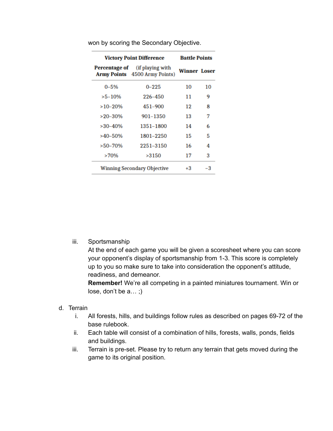| <b>Victory Point Difference</b>    |                                                                        | <b>Battle Points</b> |    |
|------------------------------------|------------------------------------------------------------------------|----------------------|----|
|                                    | <b>Percentage of</b> (if playing with<br>Army Points 4500 Army Points) | <b>Winner Loser</b>  |    |
| $0 - 5%$                           | $0 - 225$                                                              | 10                   | 10 |
| $>5-10%$                           | 226-450                                                                | 11                   | 9  |
| $>10-20%$                          | 451-900                                                                | 12                   | 8  |
| $>20-30%$                          | 901-1350                                                               | 13                   | 7  |
| $>30-40%$                          | 1351-1800                                                              | 14                   | 6  |
| $>40-50%$                          | 1801-2250                                                              | 15                   | 5  |
| $>50-70%$                          | 2251-3150                                                              | 16                   | 4  |
| >70%                               | >3150                                                                  | 17                   | 3  |
| <b>Winning Secondary Objective</b> |                                                                        | $+3$                 | -3 |

won by scoring the Secondary Objective.

iii. Sportsmanship

At the end of each game you will be given a scoresheet where you can score your opponent's display of sportsmanship from 1-3. This score is completely up to you so make sure to take into consideration the opponent's attitude, readiness, and demeanor.

**Remember!** We're all competing in a painted miniatures tournament. Win or lose, don't be a… ;)

- d. Terrain
	- i. All forests, hills, and buildings follow rules as described on pages 69-72 of the base rulebook.
	- ii. Each table will consist of a combination of hills, forests, walls, ponds, fields and buildings.
	- iii. Terrain is pre-set. Please try to return any terrain that gets moved during the game to its original position.